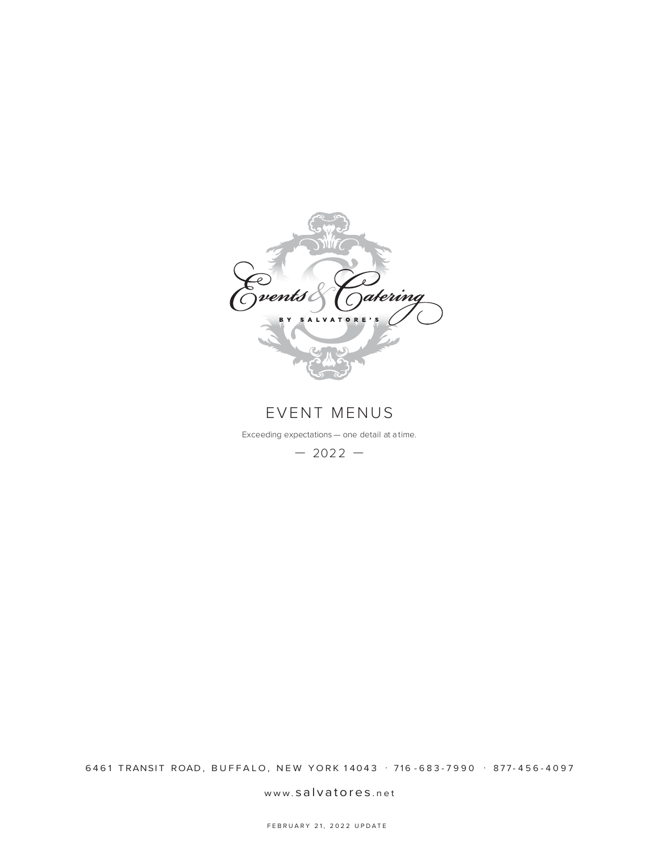

EVENT MENUS

Exceeding expectations — one detail at a time.

 $-2022 -$ 

6461 TRANSIT ROAD, BUFFALO, NEW YORK 14043 . 716 - 683 - 7990 . 877 - 456 - 4097

www. salvatores .net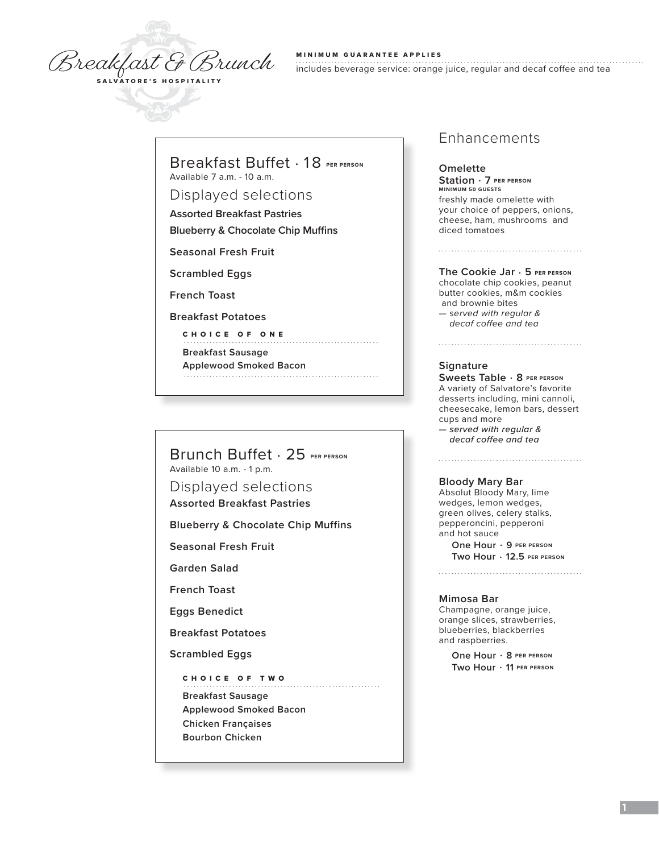Breakfast & Brunch

#### MINIMUM GUARANTEE APPLIES

includes beverage service: orange juice, regular and decaf coffee and tea

### Breakfast Buffet . 18 **PER PERSON** Available 7 a.m. - 10 a.m.

Displayed selections

**Assorted Breakfast Pastries**

**Blueberry & Chocolate Chip Muffins**

**Seasonal Fresh Fruit** 

**Scrambled Eggs**

**French Toast**

**Breakfast Potatoes**

CHOICE OF ONE

**Breakfast Sausage**

**Applewood Smoked Bacon** 

Brunch Buffet . 25 **PER PERSON** Available 10 a.m. - 1 p.m.

Displayed selections

**Assorted Breakfast Pastries**

**Blueberry & Chocolate Chip Muffins**

**Seasonal Fresh Fruit**

**Garden Salad**

**French Toast**

**Eggs Benedict**

**Breakfast Potatoes**

**Scrambled Eggs**

CHOICE OF TWO **Breakfast Sausage Applewood Smoked Bacon Chicken Françaises Bourbon Chicken**

### Enhancements

**Omelette Station** . **7 PER PERSON MINIMUM 50 GUESTS** freshly made omelette with your choice of peppers, onions, cheese, ham, mushrooms and diced tomatoes

**The Cookie Jar** . **5 PER PERSON**  chocolate chip cookies, peanut butter cookies, m&m cookies and brownie bites — s*erved with regular & decaf coffee and tea*

#### **Signature**

**Sweets Table** . **8 PER PERSON** A variety of Salvatore's favorite desserts including, mini cannoli, cheesecake, lemon bars, dessert cups and more *— served with regular & decaf coffee and tea*

**Bloody Mary Bar**

Absolut Bloody Mary, lime wedges, lemon wedges, green olives, celery stalks, pepperoncini, pepperoni and hot sauce

**One Hour** . **9 PER PERSON Two Hour** . **12.5 PER PERSON** 

**Mimosa Bar**

Champagne, orange juice, orange slices, strawberries, blueberries, blackberries and raspberries.

> **One Hour** . **8 PER PERSON Two Hour** . **11 PER PERSON**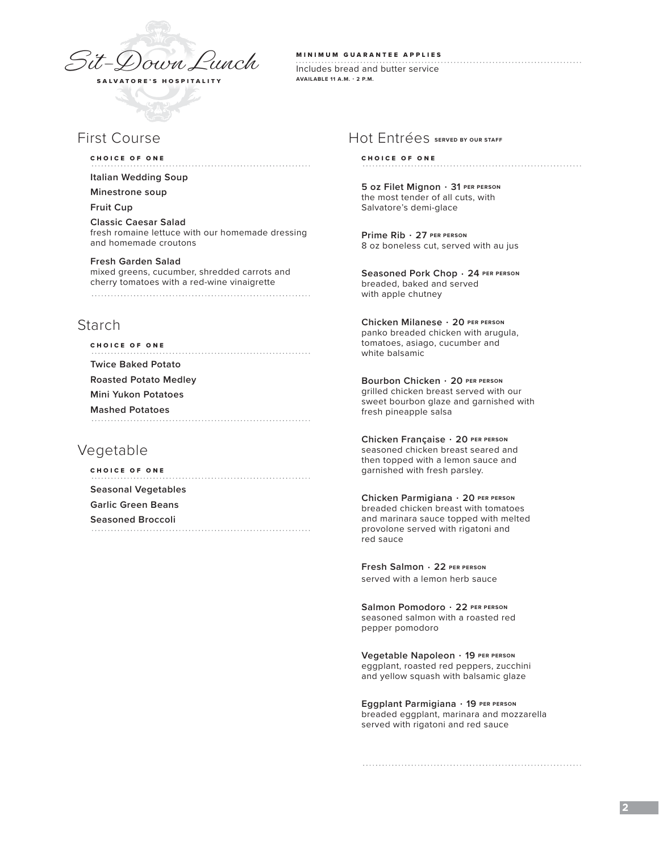

# First Course

#### CHOICE OF ONE

**Italian Wedding Soup** 

**Minestrone soup**

**Fruit Cup**

**Classic Caesar Salad** fresh romaine lettuce with our homemade dressing and homemade croutons

**Fresh Garden Salad**  mixed greens, cucumber, shredded carrots and cherry tomatoes with a red-wine vinaigrette 

# Starch

| <b>CHOICE OF ONE</b>         |
|------------------------------|
| <b>Twice Baked Potato</b>    |
| <b>Roasted Potato Medley</b> |
| Mini Yukon Potatoes          |
| <b>Mashed Potatoes</b>       |
|                              |

# Vegetable

CHOICE OF ONE **Seasonal Vegetables Garlic Green Beans Seasoned Broccoli** 

MINIMUM GUARANTEE APPLIES

Includes bread and butter service **AVAILABLE 11 A.M. - 2 P.M.**

### Hot Entrées **SERVED BY OUR STAFF**

### CHOICE OF ONE

**5 oz Filet Mignon** . **31 PER PERSON** the most tender of all cuts, with Salvatore's demi-glace

**Prime Rib** . **27 PER PERSON** 8 oz boneless cut, served with au jus

**Seasoned Pork Chop** . **24 PER PERSON** breaded, baked and served with apple chutney

**Chicken Milanese** . **20 PER PERSON** panko breaded chicken with arugula, tomatoes, asiago, cucumber and white balsamic

**Bourbon Chicken** . **20 PER PERSON** grilled chicken breast served with our sweet bourbon glaze and garnished with fresh pineapple salsa

**Chicken Française** . **20 PER PERSON** seasoned chicken breast seared and then topped with a lemon sauce and garnished with fresh parsley.

**Chicken Parmigiana** . **20 PER PERSON** breaded chicken breast with tomatoes and marinara sauce topped with melted provolone served with rigatoni and red sauce

**Fresh Salmon** . **22 PER PERSON** served with a lemon herb sauce

**Salmon Pomodoro** . **22 PER PERSON** seasoned salmon with a roasted red pepper pomodoro

**Vegetable Napoleon** . **19 PER PERSON** eggplant, roasted red peppers, zucchini and yellow squash with balsamic glaze

**Eggplant Parmigiana** . **19 PER PERSON** breaded eggplant, marinara and mozzarella served with rigatoni and red sauce

### **2**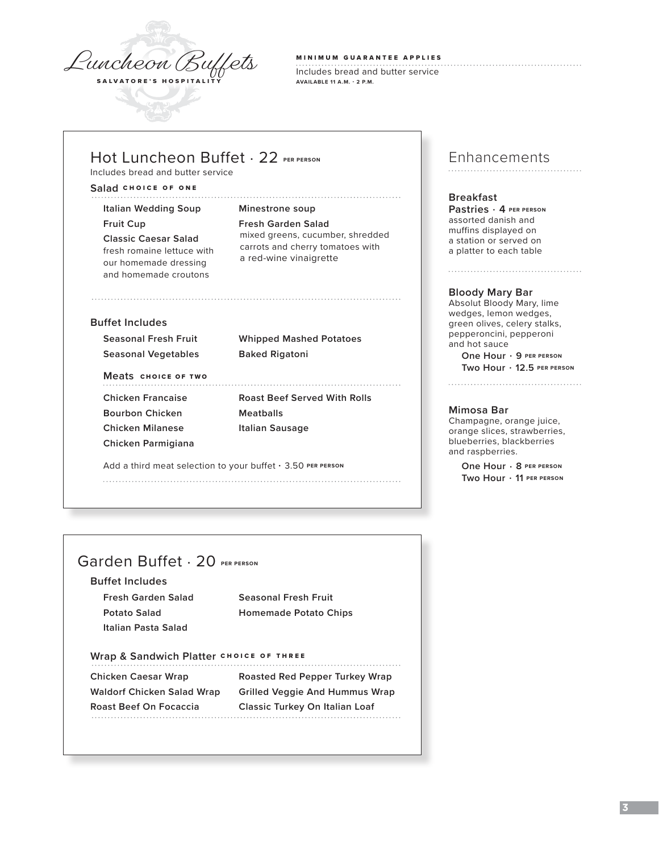

### MINIMUM GUARANTEE APPLIES

Includes bread and butter service **AVAILABLE 11 A.M. - 2 P.M.**

# **Hot Luncheon Buffet . 22 PER PERSON**

Includes bread and butter service

### **Salad** CHOICE OF ONE

**Italian Wedding Soup Minestrone soup**

our homemade dressing and homemade croutons

# **Fruit Cup Fresh Garden Salad Classic Caesar Salad** mixed greens, cucumber, shredded **FRESH CONSULTER FRESH ROMAINE CARRY CARRY CARRY CARRY CONSULTER CONSULTABLE CARRY CARRY CARRY CARRY CARRY CARRY CARRY CARRY CARRY CARRY CARRY CARRY CARRY CARRY CARRY CARRY CARRY CARRY CARRY CARRY CARRY CARRY CARRY CARRY C**

### **Buffet Includes**

**Seasonal Vegetables Baked Rigatoni**

**Seasonal Fresh Fruit Whipped Mashed Potatoes**

### **Meats** CHOICE OF TWO

**Bourbon Chicken Meatballs Chicken Milanese Italian Sausage Chicken Parmigiana**

**Chicken Francaise Roast Beef Served With Rolls**

Add a third meat selection to your buffet · 3.50 PER PERSON 

# Enhancements

### **Breakfast**

**Pastries** . **4 PER PERSON** assorted danish and muffins displayed on a station or served on a platter to each table

#### **Bloody Mary Bar**

Absolut Bloody Mary, lime wedges, lemon wedges, green olives, celery stalks, pepperoncini, pepperoni and hot sauce **One Hour** . **9 PER PERSON Two Hour** . **12.5 PER PERSON**

#### **Mimosa Bar**

Champagne, orange juice, orange slices, strawberries, blueberries, blackberries and raspberries.

> **One Hour** . **8 PER PERSON Two Hour** . **11 PER PERSON**

# Garden Buffet . 20 **PER PERSON**

**Buffet Includes**

**Fresh Garden Salad Seasonal Fresh Fruit Italian Pasta Salad**

**Potato Salad Homemade Potato Chips**

# Wrap & Sandwich Platter CHOICE OF THREE

**Chicken Caesar Wrap Roasted Red Pepper Turkey Wrap Waldorf Chicken Salad Wrap Grilled Veggie And Hummus Wrap Roast Beef On Focaccia Classic Turkey On Italian Loaf**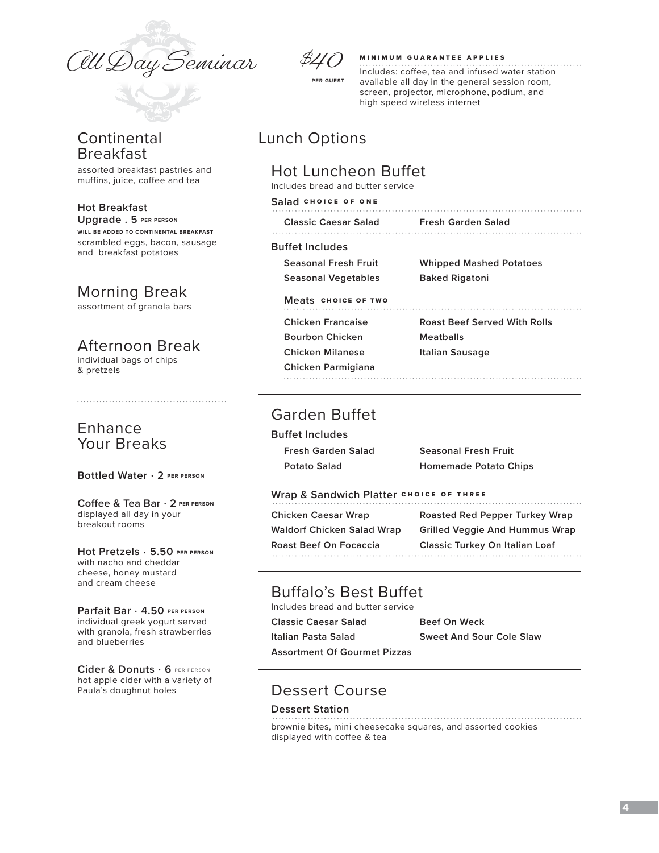All Day Seminar

# **Continental** Breakfast

assorted breakfast pastries and muffins, juice, coffee and tea

#### **Hot Breakfast Upgrade . 5 PER PERSON**

**WILL BE ADDED TO CONTINENTAL BREAKFAST** scrambled eggs, bacon, sausage and breakfast potatoes

# Morning Break

assortment of granola bars

# Afternoon Break

individual bags of chips & pretzels

# Enhance Your Breaks

**Bottled Water** . **2 PER PERSON**

#### **Coffee & Tea Bar** . **2 PER PERSON** displayed all day in your breakout rooms

**Hot Pretzels** . **5.50 PER PERSON** with nacho and cheddar cheese, honey mustard and cream cheese

#### **Parfait Bar** . **4.50 PER PERSON** individual greek yogurt served with granola, fresh strawberries and blueberries

**Cider & Donuts** . **6** PER PERSON hot apple cider with a variety of Paula's doughnut holes



### MINIMUM GUARANTEE APPLIES

Includes: coffee, tea and infused water station available all day in the general session room, screen, projector, microphone, podium, and high speed wireless internet

# Lunch Options

# Hot Luncheon Buffet

Includes bread and butter service

#### **Salad** CHOICE OF ONE

| <b>Classic Caesar Salad</b> | Fresh Garden Salad |
|-----------------------------|--------------------|
|                             |                    |

### **Buffet Includes**

**Seasonal Vegetables Baked Rigatoni**

**Seasonal Fresh Fruit Whipped Mashed Potatoes**

### **Meats** CHOICE OF TWO

**Bourbon Chicken Meatballs Chicken Milanese Italian Sausage Chicken Parmigiana**

**Chicken Francaise Roast Beef Served With Rolls**

# Garden Buffet

**Buffet Includes**

**Fresh Garden Salad Seasonal Fresh Fruit Potato Salad Homemade Potato Chips**

### **Wrap & Sandwich Platter CHOICE OF THREE**

**Chicken Caesar Wrap Roasted Red Pepper Turkey Wrap Waldorf Chicken Salad Wrap Grilled Veggie And Hummus Wrap Roast Beef On Focaccia Classic Turkey On Italian Loaf**  

# Buffalo's Best Buffet

Includes bread and butter service

**Classic Caesar Salad Beef On Weck**

**Italian Pasta Salad Sweet And Sour Cole Slaw**

**Assortment Of Gourmet Pizzas**

# Dessert Course

### **Dessert Station**

brownie bites, mini cheesecake squares, and assorted cookies displayed with coffee & tea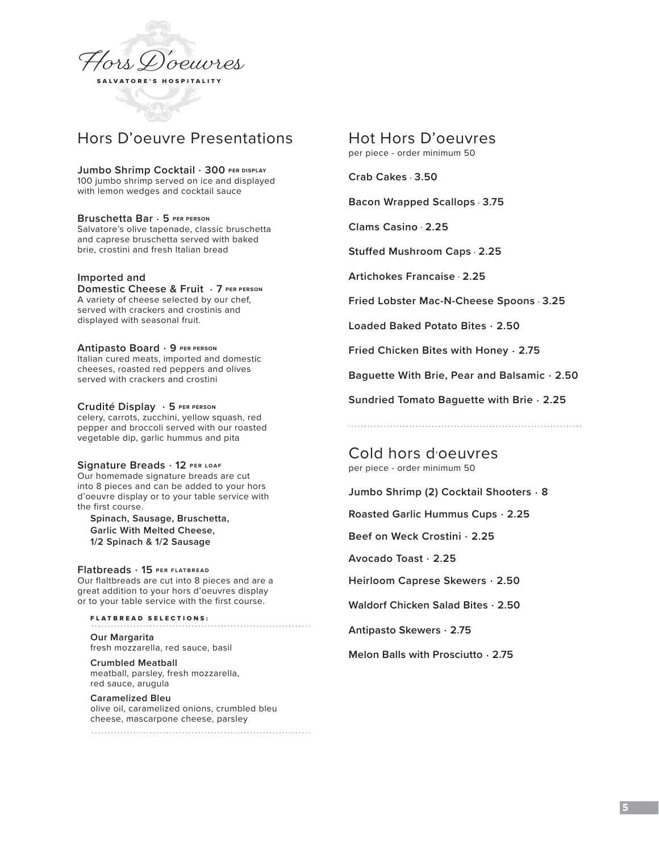

# Hors D'oeuvre Presentations

**Jumbo Shrimp Cocktail** . **300 PER DISPLAY** 100 jumbo shrimp served on ice and displayed with lemon wedges and cocktail sauce

**Bruschetta Bar** . **5 PER PERSON** Salvatore's olive tapenade, classic bruschetta and caprese bruschetta served with baked brie, crostini and fresh Italian bread

#### **Imported and**

**Domestic Cheese & Fruit** . **7 PER PERSON** A variety of cheese selected by our chef, served with crackers and crostinis and displayed with seasonal fruit.

**Antipasto Board** . **9 PER PERSON** Italian cured meats, imported and domestic cheeses, roasted red peppers and olives served with crackers and crostini

**Crudité Display** . **5 PER PERSON** celery, carrots, zucchini, yellow squash, red pepper and broccoli served with our roasted vegetable dip, garlic hummus and pita

**Signature Breads** . **12 PER LOAF**

Our homemade signature breads are cut into 8 pieces and can be added to your hors d'oeuvre display or to your table service with the first course.

**Spinach, Sausage, Bruschetta, Garlic With Melted Cheese, 1/2 Spinach & 1/2 Sausage**

**Flatbreads** . **15 PER FLATBREAD** Our flaltbreads are cut into 8 pieces and are a

great addition to your hors d'oeuvres display or to your table service with the first course.

FLATBREAD SELECTIONS: **Our Margarita**  fresh mozzarella, red sauce, basil

**Crumbled Meatball**  meatball, parsley, fresh mozzarella, red sauce, arugula

**Caramelized Bleu** olive oil, caramelized onions, crumbled bleu cheese, mascarpone cheese, parsley Hot Hors D'oeuvres

per piece - order minimum 50

**Crab Cakes** . **3.50** 

**Bacon Wrapped Scallops** . **3.75**

**Clams Casino** . **2.25**

**Stuffed Mushroom Caps** . **2.25**

**Artichokes Francaise** . **2.25**

**Fried Lobster Mac-N-Cheese Spoons** . **3.25**

**Loaded Baked Potato Bites** . **2.50**

**Fried Chicken Bites with Honey** . **2.75**

**Baguette With Brie, Pear and Balsamic** . **2.50**

**Sundried Tomato Baguette with Brie** . **2.25**

Cold hors d'oeuvres per piece - order minimum 50

**Jumbo Shrimp (2) Cocktail Shooters** . **8**

**Roasted Garlic Hummus Cups** . **2.25**

**Beef on Weck Crostini** . **2.25**

**Avocado Toast** . **2.25**

**Heirloom Caprese Skewers** . **2.50**

**Waldorf Chicken Salad Bites** . **2.50** 

**Antipasto Skewers** . **2.75** 

**Melon Balls with Prosciutto** . **2.75**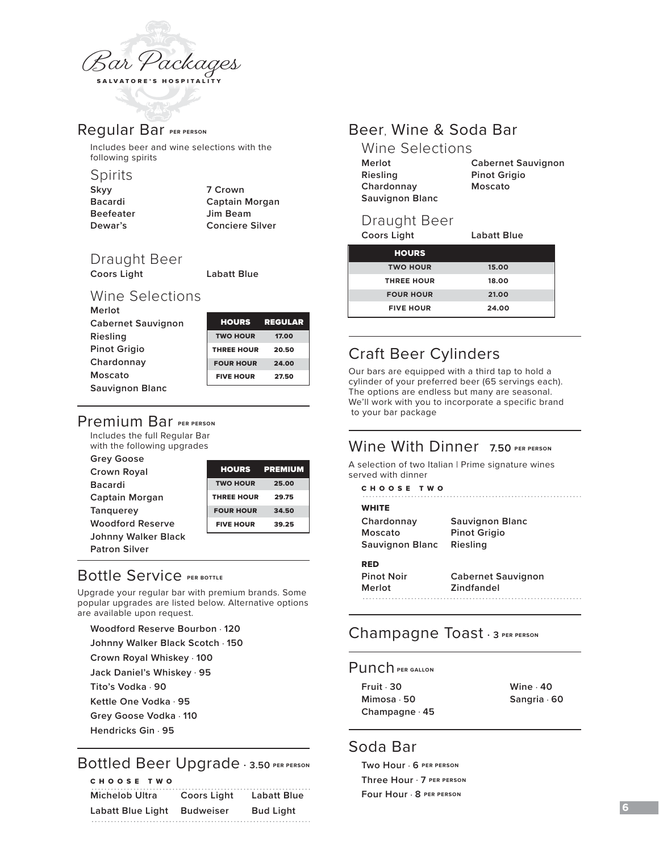

# Regular Bar **PER PERSON**

Includes beer and wine selections with the following spirits

### Spirits

| Skvv      | 7 Crown                |
|-----------|------------------------|
| Bacardi   | <b>Captain Morgan</b>  |
| Beefeater | Jim Beam               |
| Dewar's   | <b>Conciere Silver</b> |
|           |                        |

Draught Beer

**Coors Light Labatt Blue** 

# Wine Selections

| Merlot                    |
|---------------------------|
| <b>Cabernet Sauvignon</b> |
| Riesling                  |
| <b>Pinot Grigio</b>       |
| Chardonnay                |
| Moscato                   |
| <b>Sauvignon Blanc</b>    |

| <b>HOURS</b>      | <b>REGULAR</b> |
|-------------------|----------------|
| <b>TWO HOUR</b>   | 17.00          |
| <b>THREE HOUR</b> | 20.50          |
| <b>FOUR HOUR</b>  | 24.00          |
| <b>FIVE HOUR</b>  | 27.50          |

# Premium Bar **PER PERSON**

Includes the full Regular Bar with the following upgrades

| <b>Grey Goose</b>       |                   |                |
|-------------------------|-------------------|----------------|
| Crown Royal             | <b>HOURS</b>      | <b>PREMIUM</b> |
| <b>Bacardi</b>          | <b>TWO HOUR</b>   | 25.00          |
| Captain Morgan          | <b>THREE HOUR</b> | 29.75          |
| <b>Tanguerey</b>        | <b>FOUR HOUR</b>  | 34.50          |
| <b>Woodford Reserve</b> | <b>FIVE HOUR</b>  | 39.25          |
| Johnny Walker Black     |                   |                |
| <b>Patron Silver</b>    |                   |                |

# Bottle Service **PER BOTTLE**

Upgrade your regular bar with premium brands. Some popular upgrades are listed below. Alternative options are available upon request.

#### **Woodford Reserve Bourbon** . **120**

- **Johnny Walker Black Scotch** . **150**
- **Crown Royal Whiskey** . **100**
- **Jack Daniel's Whiskey** . **95**
- **Tito's Vodka** . **90**
- **Kettle One Vodka** . **95**
- **Grey Goose Vodka** . **110**
- **Hendricks Gin** . **95**

# Bottled Beer Upgrade . **3.50 PER PERSON**

| CHOOSE TWO        |                  |                    |
|-------------------|------------------|--------------------|
| Michelob Ultra    | Coors Light      | <b>Labatt Blue</b> |
| Labatt Blue Light | <b>Budweiser</b> | <b>Bud Light</b>   |
|                   |                  |                    |

# Beer, Wine & Soda Bar

| Wine Selections        |                           |
|------------------------|---------------------------|
| Merlot                 | <b>Cabernet Sauvignon</b> |
| Riesling               | <b>Pinot Grigio</b>       |
| Chardonnay             | Moscato                   |
| <b>Sauvignon Blanc</b> |                           |

# Draught Beer

**Coors Light Labatt Blue** 

| <b>HOURS</b>      |       |
|-------------------|-------|
| <b>TWO HOUR</b>   | 15.00 |
| <b>THREE HOUR</b> | 18.00 |
| <b>FOUR HOUR</b>  | 21.00 |
| <b>FIVE HOUR</b>  | 24.00 |

# Craft Beer Cylinders

Our bars are equipped with a third tap to hold a cylinder of your preferred beer (65 servings each). The options are endless but many are seasonal. We'll work with you to incorporate a specific brand to your bar package

# Wine With Dinner **7.50 PER PERSON**

A selection of two Italian | Prime signature wines served with dinner

CHOOSE TWO

### **WHITE**

| Chardonnay      | <b>Sauvignon Blanc</b> |
|-----------------|------------------------|
| Moscato         | <b>Pinot Grigio</b>    |
| Sauvignon Blanc | Riesling               |
| RED             |                        |
|                 |                        |

| <b>Pinot Noir</b> | <b>Cabernet Sauvignon</b> |
|-------------------|---------------------------|
| Merlot            | Zindfandel                |
|                   |                           |

. . . . . . . . . . . . . . . . .

# Champagne Toast . **<sup>3</sup> PER PERSON**

### Punch **PER GALLON**

| Fruit $\cdot$ 30     | Wine $\cdot$ 40    |
|----------------------|--------------------|
| Mimosa · 50          | Sangria $\cdot$ 60 |
| Champagne $\cdot$ 45 |                    |

# Soda Bar

**Two Hour** . **6 PER PERSON Three Hour** . **7 PER PERSON Four Hour** . **8 PER PERSON**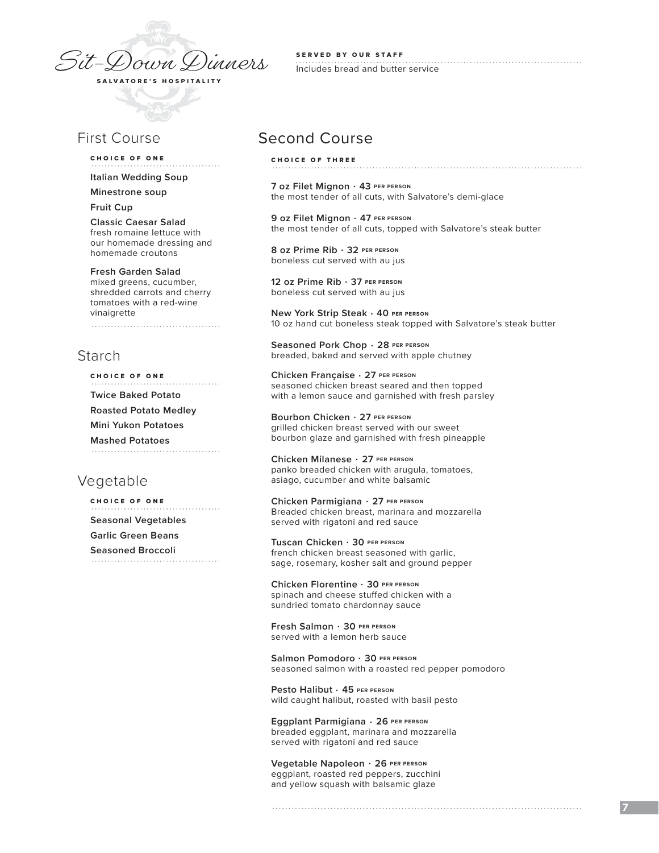

# First Course

#### CHOICE OF ONE

**Italian Wedding Soup** 

**Minestrone soup**

**Fruit Cup**

**Classic Caesar Salad** fresh romaine lettuce with our homemade dressing and homemade croutons

#### **Fresh Garden Salad**

mixed greens, cucumber, shredded carrots and cherry tomatoes with a red-wine vinaigrette 

# Starch

CHOICE OF ONE

**Twice Baked Potato**

**Roasted Potato Medley**

**Mini Yukon Potatoes**

**Mashed Potatoes** 

# Vegetable

CHOICE OF ONE **Seasonal Vegetables**

**Garlic Green Beans**

**Seasoned Broccoli**

SERVED BY OUR STAFF Includes bread and butter service

# Second Course

CHOICE OF THREE

**7 oz Filet Mignon** . **43 PER PERSON** the most tender of all cuts, with Salvatore's demi-glace

**9 oz Filet Mignon** . **47 PER PERSON** the most tender of all cuts, topped with Salvatore's steak butter

**8 oz Prime Rib** . **32 PER PERSON** boneless cut served with au jus

**12 oz Prime Rib** . **37 PER PERSON** boneless cut served with au jus

**New York Strip Steak** . **40 PER PERSON** 10 oz hand cut boneless steak topped with Salvatore's steak butter

**Seasoned Pork Chop** . **28 PER PERSON** breaded, baked and served with apple chutney

**Chicken Française** . **27 PER PERSON** seasoned chicken breast seared and then topped with a lemon sauce and garnished with fresh parsley

**Bourbon Chicken** . **27 PER PERSON** grilled chicken breast served with our sweet bourbon glaze and garnished with fresh pineapple

**Chicken Milanese** . **27 PER PERSON** panko breaded chicken with arugula, tomatoes, asiago, cucumber and white balsamic

**Chicken Parmigiana** . **27 PER PERSON** Breaded chicken breast, marinara and mozzarella served with rigatoni and red sauce

**Tuscan Chicken** . **30 PER PERSON** french chicken breast seasoned with garlic, sage, rosemary, kosher salt and ground pepper

**Chicken Florentine** . **30 PER PERSON** spinach and cheese stuffed chicken with a sundried tomato chardonnay sauce

**Fresh Salmon** . **30 PER PERSON** served with a lemon herb sauce

**Salmon Pomodoro** . **30 PER PERSON** seasoned salmon with a roasted red pepper pomodoro

**Pesto Halibut** . **45 PER PERSON** wild caught halibut, roasted with basil pesto

**Eggplant Parmigiana** . **26 PER PERSON** breaded eggplant, marinara and mozzarella served with rigatoni and red sauce

**Vegetable Napoleon** . **26 PER PERSON** eggplant, roasted red peppers, zucchini and yellow squash with balsamic glaze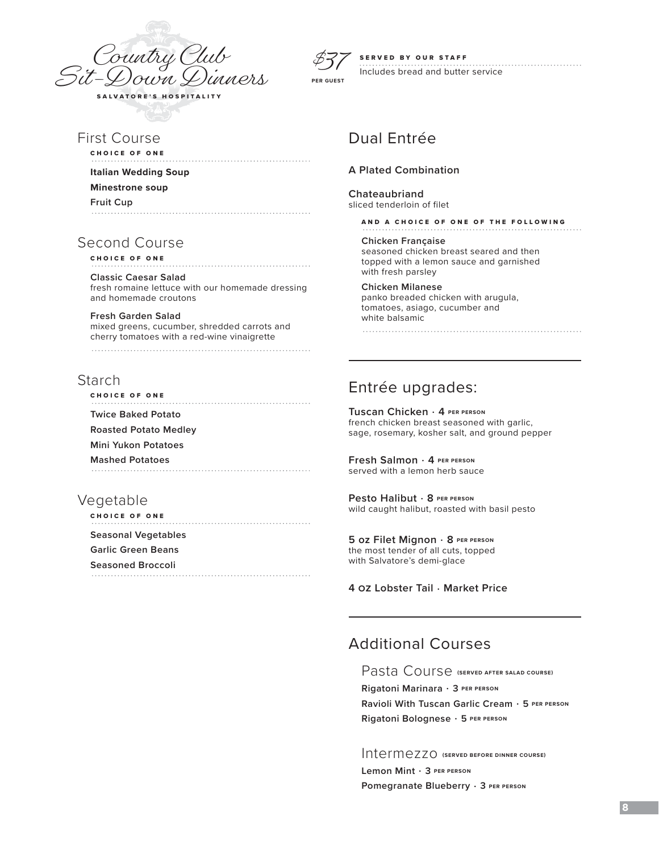



### SERVED BY OUR STAFF

Includes bread and butter service

# First Course

CHOICE OF ONE

#### **Italian Wedding Soup**

**Minestrone soup**

### **Fruit Cup**

# Second Course

CHOICE OF ONE

**Classic Caesar Salad** fresh romaine lettuce with our homemade dressing and homemade croutons

**Fresh Garden Salad**  mixed greens, cucumber, shredded carrots and cherry tomatoes with a red-wine vinaigrette 

# Starch

CHOICE OF ONE **Twice Baked Potato Roasted Potato Medley Mini Yukon Potatoes Mashed Potatoes**

# Vegetable

CHOICE OF ONE **Seasonal Vegetables Garlic Green Beans Seasoned Broccoli**

# Dual Entrée

### **A Plated Combination**

**Chateaubriand** sliced tenderloin of filet

AND A CHOICE OF ONE OF THE FOLLOWING

**Chicken Française** seasoned chicken breast seared and then topped with a lemon sauce and garnished with fresh parsley

#### **Chicken Milanese**

panko breaded chicken with arugula, tomatoes, asiago, cucumber and white balsamic

Entrée upgrades:

**Tuscan Chicken** . **4 PER PERSON** french chicken breast seasoned with garlic, sage, rosemary, kosher salt, and ground pepper

**Fresh Salmon** . **4 PER PERSON** served with a lemon herb sauce

**Pesto Halibut** . **8 PER PERSON** wild caught halibut, roasted with basil pesto

**5 oz Filet Mignon** . **8 PER PERSON** the most tender of all cuts, topped with Salvatore's demi-glace

**4 oz Lobster Tail** . **Market Price**

# Additional Courses

Pasta Course **(SERVED AFTER SALAD COURSE)**

**Rigatoni Marinara** . **3 PER PERSON Ravioli With Tuscan Garlic Cream** . **5 PER PERSON Rigatoni Bolognese** . **5 PER PERSON**

Intermezzo **(SERVED BEFORE DINNER COURSE)**

**Lemon Mint** . **3 PER PERSON Pomegranate Blueberry** . **3 PER PERSON**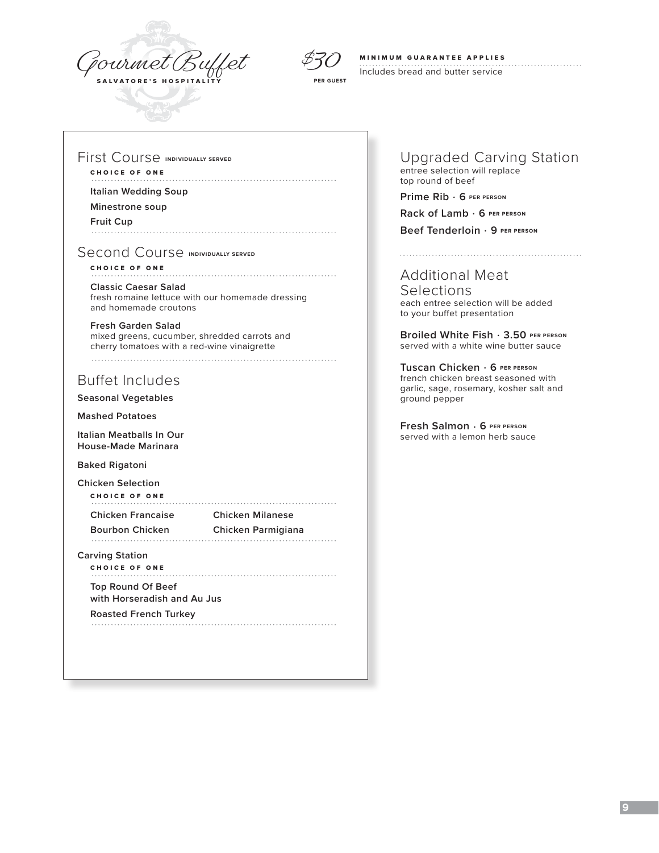



# MINIMUM GUARANTEE APPLIES

Includes bread and butter service

### First Course **INDIVIDUALLY SERVED**

### CHOICE OF ONE

#### **Italian Wedding Soup**

**Minestrone soup**

**Fruit Cup**

### Second Course **INDIVIDUALLY SERVED**

#### CHOICE OF ONE

**Classic Caesar Salad** fresh romaine lettuce with our homemade dressing and homemade croutons

**Fresh Garden Salad**  mixed greens, cucumber, shredded carrots and cherry tomatoes with a red-wine vinaigrette 

# Buffet Includes

**Seasonal Vegetables**

**Mashed Potatoes**

**Italian Meatballs In Our House-Made Marinara**

**Baked Rigatoni**

**Chicken Selection** CHOICE OF ONE

**Chicken Francaise Chicken Milanese**

**Bourbon Chicken Chicken Parmigiana**

**Carving Station**

CHOICE OF ONE **Top Round Of Beef** 

**with Horseradish and Au Jus**

**Roasted French Turkey** 

Upgraded Carving Station entree selection will replace top round of beef

**Prime Rib** . **6 PER PERSON**

**Rack of Lamb** . **6 PER PERSON**

**Beef Tenderloin** . **9 PER PERSON**

# Additional Meat

**Selections** each entree selection will be added to your buffet presentation

**Broiled White Fish** . **3.50 PER PERSON** served with a white wine butter sauce

**Tuscan Chicken** . **6 PER PERSON** french chicken breast seasoned with garlic, sage, rosemary, kosher salt and ground pepper

**Fresh Salmon** . **6 PER PERSON** served with a lemon herb sauce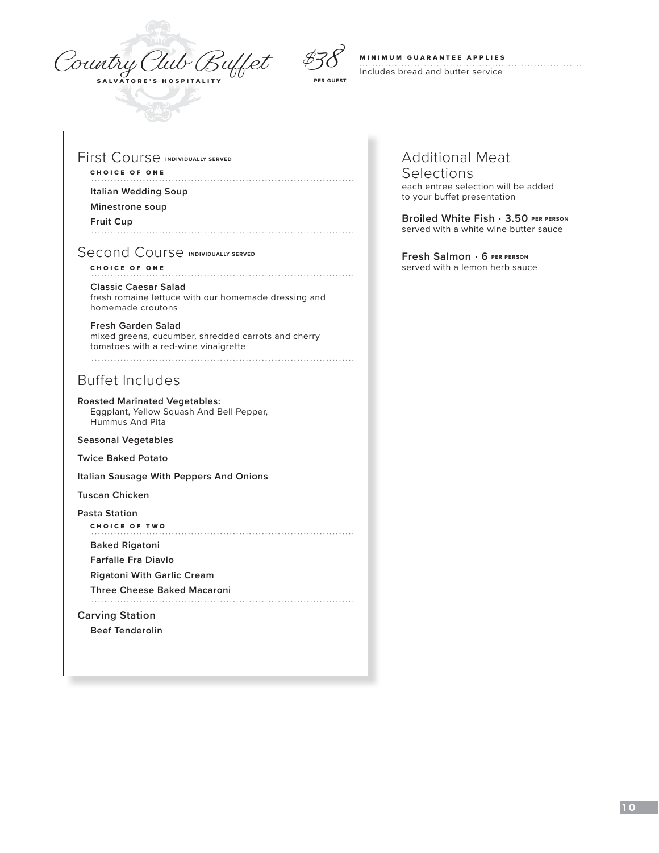



**PER GUEST**

# MINIMUM GUARANTEE APPLIES

Includes bread and butter service

### First Course **INDIVIDUALLY SERVED**

### CHOICE OF ONE

#### **Italian Wedding Soup**

**Minestrone soup**

# **Fruit Cup**

Second Course **INDIVIDUALLY SERVED** 

### CHOICE OF ONE

#### **Classic Caesar Salad** fresh romaine lettuce with our homemade dressing and homemade croutons

**Fresh Garden Salad**  mixed greens, cucumber, shredded carrots and cherry tomatoes with a red-wine vinaigrette

Buffet Includes

**Roasted Marinated Vegetables:**  Eggplant, Yellow Squash And Bell Pepper, Hummus And Pita

**Seasonal Vegetables**

**Twice Baked Potato**

**Italian Sausage With Peppers And Onions**

**Tuscan Chicken**

**Pasta Station**

CHOICE OF TWO

**Baked Rigatoni** 

**Farfalle Fra Diavlo**

**Rigatoni With Garlic Cream**

**Three Cheese Baked Macaroni**

### **Carving Station**

**Beef Tenderolin**

# Additional Meat

#### Selections each entree selection will be added to your buffet presentation

**Broiled White Fish** . **3.50 PER PERSON** served with a white wine butter sauce

**Fresh Salmon** . **6 PER PERSON** served with a lemon herb sauce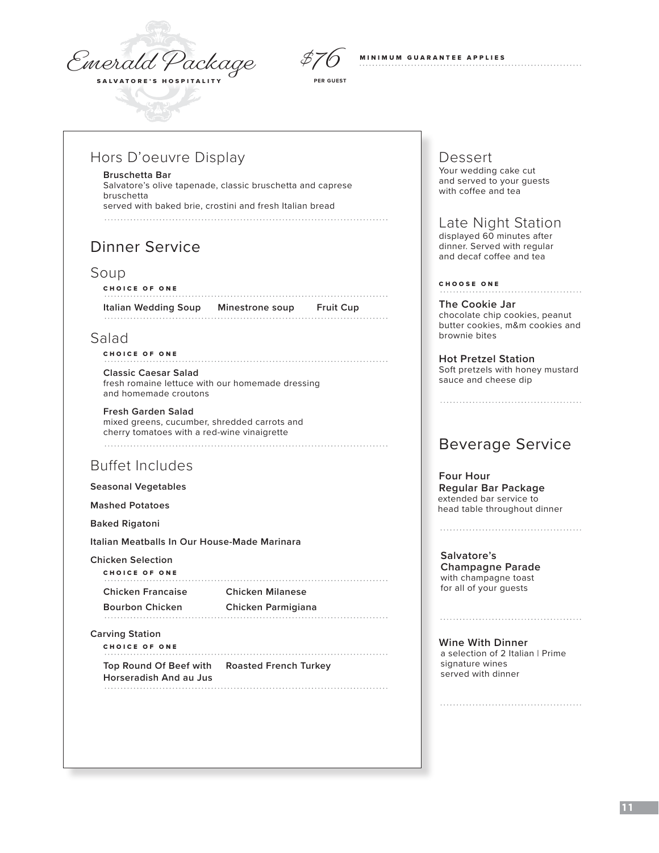Emerald Package



**PER GUEST**

**MINIMUM GUARANTEE APPLIES** 

# Hors D'oeuvre Display

#### **Bruschetta Bar**

Salvatore's olive tapenade, classic bruschetta and caprese bruschetta served with baked brie, crostini and fresh Italian bread

#### 

# Dinner Service

### Soup

#### CHOICE OF ONE

**Italian Wedding Soup Minestrone soup Fruit Cup** 

### Salad

### CHOICE OF ONE

**Classic Caesar Salad** fresh romaine lettuce with our homemade dressing and homemade croutons

#### **Fresh Garden Salad**

mixed greens, cucumber, shredded carrots and cherry tomatoes with a red-wine vinaigrette 

# Buffet Includes

### **Seasonal Vegetables**

**Mashed Potatoes** 

**Baked Rigatoni**

**Italian Meatballs In Our House-Made Marinara**

#### **Chicken Selection**

| CHOICE OF ONE            |                         |
|--------------------------|-------------------------|
| <b>Chicken Francaise</b> | <b>Chicken Milanese</b> |
| <b>Bourbon Chicken</b>   | Chicken Parmigiana      |
|                          |                         |

### **Carving Station**

| <b>CHOICE OF ONE</b>                                                   |  |
|------------------------------------------------------------------------|--|
| Top Round Of Beef with Roasted French Turkey<br>Horseradish And au Jus |  |

# Dessert

Your wedding cake cut and served to your guests with coffee and tea

# Late Night Station

 displayed 60 minutes after dinner. Served with regular and decaf coffee and tea

#### CHOOSE ONE

**The Cookie Jar** chocolate chip cookies, peanut butter cookies, m&m cookies and brownie bites

**Hot Pretzel Station**  Soft pretzels with honey mustard sauce and cheese dip

# Beverage Service

#### **Four Hour Regular Bar Package** extended bar service to head table throughout dinner

**Salvatore's Champagne Parade** with champagne toast for all of your guests

# 

**Wine With Dinner** a selection of 2 Italian | Prime signature wines served with dinner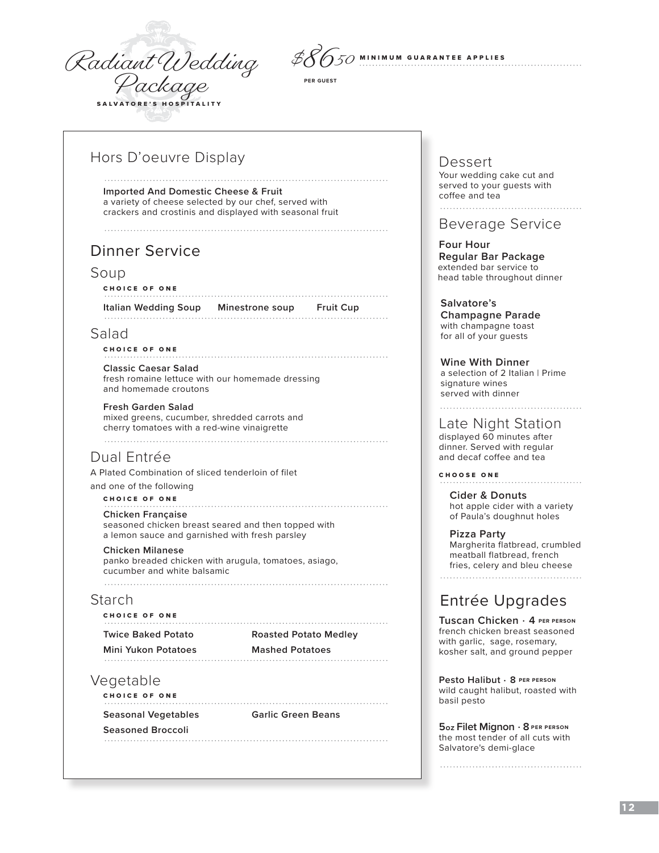



**PER GUEST**

# Hors D'oeuvre Display

**Imported And Domestic Cheese & Fruit** a variety of cheese selected by our chef, served with crackers and crostinis and displayed with seasonal fruit

# Dinner Service

### Soup

#### CHOICE OF ONE

**Italian Wedding Soup Minestrone soup Fruit Cup** 

# Salad

### CHOICE OF ONE

**Classic Caesar Salad** fresh romaine lettuce with our homemade dressing and homemade croutons

### **Fresh Garden Salad**

mixed greens, cucumber, shredded carrots and cherry tomatoes with a red-wine vinaigrette 

# Dual Entrée

A Plated Combination of sliced tenderloin of filet

and one of the following

### CHOICE OF ONE

**Chicken Française**

 seasoned chicken breast seared and then topped with a lemon sauce and garnished with fresh parsley

### **Chicken Milanese**

panko breaded chicken with arugula, tomatoes, asiago, cucumber and white balsamic

# Starch

CHOICE OF ONE **Twice Baked Potato Roasted Potato Medley Mini Yukon Potatoes Mashed Potatoes**

# Vegetable

CHOICE OF ONE 

**Seasonal Vegetables Garlic Green Beans**

**Seasoned Broccoli**

Dessert Your wedding cake cut and served to your guests with

coffee and tea

### Beverage Service

 **Four Hour Regular Bar Package** extended bar service to head table throughout dinner

**Salvatore's Champagne Parade** with champagne toast for all of your guests

**Wine With Dinner** a selection of 2 Italian | Prime signature wines served with dinner

Late Night Station

 displayed 60 minutes after dinner. Served with regular and decaf coffee and tea

CHOOSE ONE

**Cider & Donuts** hot apple cider with a variety of Paula's doughnut holes

**Pizza Party** Margherita flatbread, crumbled meatball flatbread, french fries, celery and bleu cheese

# Entrée Upgrades

**Tuscan Chicken** . **4 PER PERSON** french chicken breast seasoned with garlic, sage, rosemary, kosher salt, and ground pepper

**Pesto Halibut** . **8 PER PERSON** wild caught halibut, roasted with basil pesto

**5 oz Filet Mignon** . **8 PER PERSON** the most tender of all cuts with Salvatore's demi-glace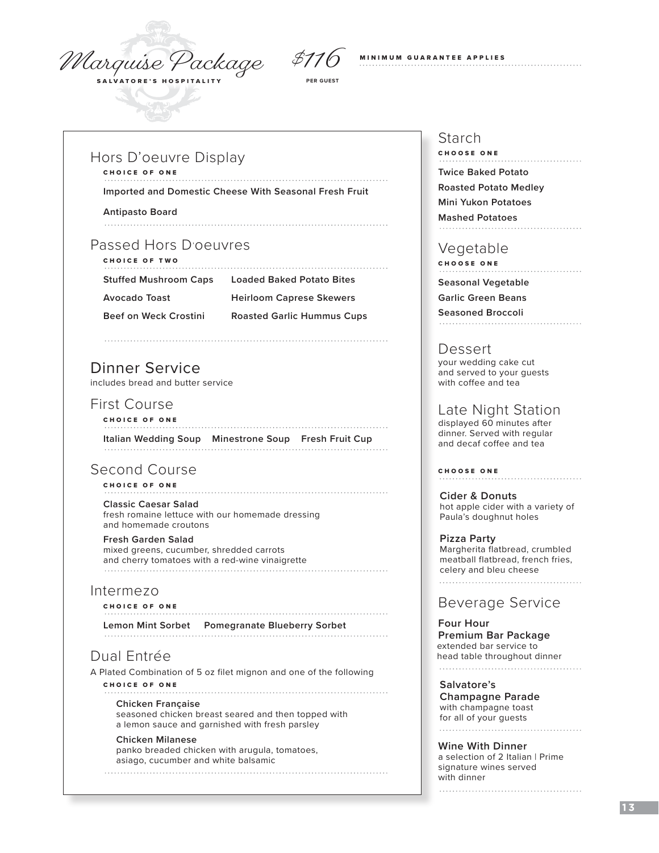Marquise Package



**PER GUEST**

#### **MINIMUM GUARANTEE APPLIES**

### Hors D'oeuvre Display

CHOICE OF ONE

**Imported and Domestic Cheese With Seasonal Fresh Fruit**

- **Antipasto Board**
- 

### Passed Hors D'oeuvres CHOICE OF TWO

- 
- **Stuffed Mushroom Caps Loaded Baked Potato Bites**

- **Avocado Toast Heirloom Caprese Skewers**
- 
- **Beef on Weck Crostini Roasted Garlic Hummus Cups**

# Dinner Service

includes bread and butter service

# First Course

- CHOICE OF ONE **Italian Wedding Soup Minestrone Soup Fresh Fruit Cup**
- 

# Second Course

### CHOICE OF ONE

**Classic Caesar Salad** fresh romaine lettuce with our homemade dressing and homemade croutons

#### **Fresh Garden Salad**

 mixed greens, cucumber, shredded carrots and cherry tomatoes with a red-wine vinaigrette

### Intermezo

### CHOICE OF ONE

**Lemon Mint Sorbet Pomegranate Blueberry Sorbet**

# Dual Entrée

A Plated Combination of 5 oz filet mignon and one of the following CHOICE OF ONE 

### **Chicken Française**

 seasoned chicken breast seared and then topped with a lemon sauce and garnished with fresh parsley

#### **Chicken Milanese**

 panko breaded chicken with arugula, tomatoes, asiago, cucumber and white balsamic 

# Starch

CHOOSE ONE **Twice Baked Potato Roasted Potato Medley Mini Yukon Potatoes Mashed Potatoes**

# Vegetable

CHOOSE ONE

**Seasonal Vegetable**

**Garlic Green Beans**

**Seasoned Broccoli**

### Dessert

 your wedding cake cut and served to your guests with coffee and tea

### Late Night Station

 displayed 60 minutes after dinner. Served with regular and decaf coffee and tea

CHOOSE ONE . . . . . . . . . . . . . . . . . .

**Cider & Donuts** hot apple cider with a variety of Paula's doughnut holes

### **Pizza Party** Margherita flatbread, crumbled meatball flatbread, french fries, celery and bleu cheese

# Beverage Service

 **Four Hour Premium Bar Package** extended bar service to head table throughout dinner 

### **Salvatore's**

**Champagne Parade** with champagne toast for all of your guests 

### **Wine With Dinner**

a selection of 2 Italian | Prime signature wines served with dinner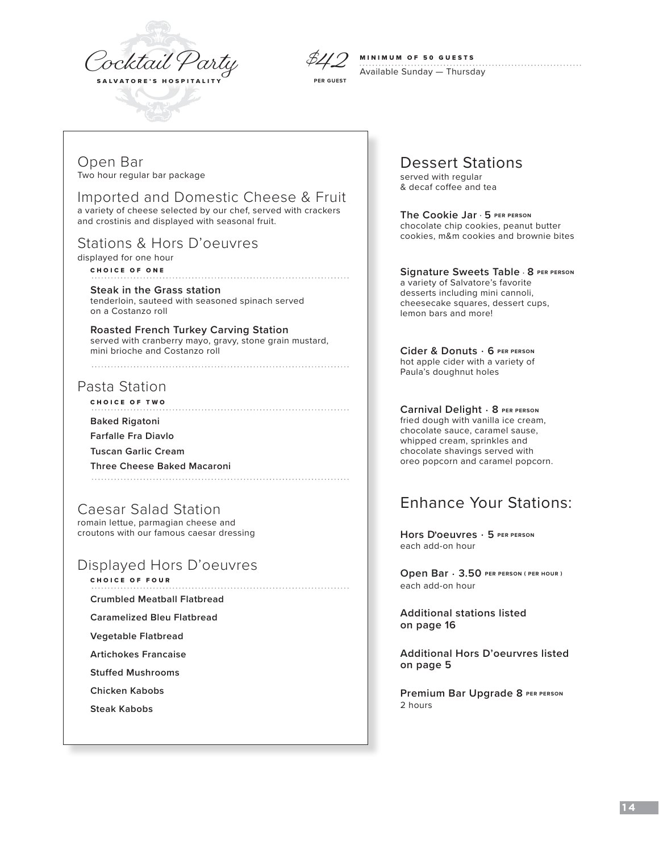



### MINIMUM OF 50 GUESTS

Available Sunday — Thursday

Open Bar Two hour regular bar package

Imported and Domestic Cheese & Fruit a variety of cheese selected by our chef, served with crackers

and crostinis and displayed with seasonal fruit.

# Stations & Hors D'oeuvres

displayed for one hour CHOICE OF ONE

**Steak in the Grass station** tenderloin, sauteed with seasoned spinach served on a Costanzo roll

**Roasted French Turkey Carving Station** served with cranberry mayo, gravy, stone grain mustard, mini brioche and Costanzo roll

# Pasta Station

CHOICE OF TWO

### **Baked Rigatoni**

**Farfalle Fra Diavlo**

**Tuscan Garlic Cream**

**Three Cheese Baked Macaroni**

Caesar Salad Station romain lettue, parmagian cheese and croutons with our famous caesar dressing

# Displayed Hors D'oeuvres

CHOICE OF FOUR

**Crumbled Meatball Flatbread**

**Caramelized Bleu Flatbread**

**Vegetable Flatbread**

**Artichokes Francaise**

**Stuffed Mushrooms**

**Chicken Kabobs**

**Steak Kabobs**

Dessert Stations

served with regular & decaf coffee and tea

**The Cookie Jar** . **5 PER PERSON** chocolate chip cookies, peanut butter cookies, m&m cookies and brownie bites

### **Signature Sweets Table** . **8 PER PERSON**

a variety of Salvatore's favorite desserts including mini cannoli, cheesecake squares, dessert cups, lemon bars and more!

**Cider & Donuts** . **6 PER PERSON** hot apple cider with a variety of Paula's doughnut holes

**Carnival Delight** . **8 PER PERSON** fried dough with vanilla ice cream, chocolate sauce, caramel sause, whipped cream, sprinkles and chocolate shavings served with oreo popcorn and caramel popcorn.

# Enhance Your Stations:

**Hors D, oeuvres** . **5 PER PERSON** each add-on hour

**Open Bar** . **3.50 PER PERSON ( PER HOUR )** each add-on hour

**Additional stations listed on page 16**

**Additional Hors D'oeurvres listed on page 5**

**Premium Bar Upgrade 8 PER PERSON** 2 hours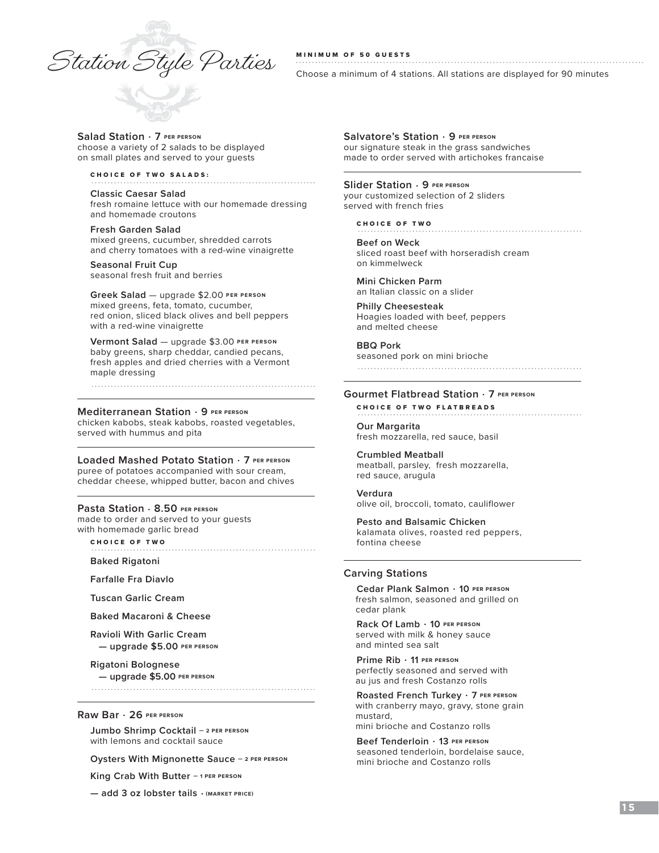# $\mathcal{I}_{\mathcal{A}}$   $\mathcal{I}_{\mathcal{A}}$   $\mathcal{I}_{\mathcal{A}}$   $\mathcal{I}_{\mathcal{A}}$   $\mathcal{I}_{\mathcal{A}}$   $\mathcal{I}_{\mathcal{A}}$   $\mathcal{I}_{\mathcal{A}}$   $\mathcal{I}_{\mathcal{A}}$   $\mathcal{I}_{\mathcal{A}}$   $\mathcal{I}_{\mathcal{A}}$   $\mathcal{I}_{\mathcal{A}}$   $\mathcal{I}_{\mathcal{A}}$  and  $\mathcal{I}_{\mathcal{A}}$  are minimum of 4 stati

Choose a minimum of 4 stations. All stations are displayed for 90 minutes

#### **Salad Station** . **7 PER PERSON**  choose a variety of 2 salads to be displayed

on small plates and served to your guests

### CHOICE OF TWO SALADS:

**Classic Caesar Salad** fresh romaine lettuce with our homemade dressing and homemade croutons

**Fresh Garden Salad** mixed greens, cucumber, shredded carrots and cherry tomatoes with a red-wine vinaigrette

**Seasonal Fruit Cup**  seasonal fresh fruit and berries

**Greek Salad** — upgrade \$2.00 **PER PERSON** mixed greens, feta, tomato, cucumber, red onion, sliced black olives and bell peppers with a red-wine vinaigrette

**Vermont Salad** — upgrade \$3.00 **PER PERSON** baby greens, sharp cheddar, candied pecans, fresh apples and dried cherries with a Vermont maple dressing

#### **Mediterranean Station** . **9 PER PERSON**

chicken kabobs, steak kabobs, roasted vegetables, served with hummus and pita

**Loaded Mashed Potato Station** . **7 PER PERSON**

puree of potatoes accompanied with sour cream, cheddar cheese, whipped butter, bacon and chives

#### **Pasta Station** . **8.50 PER PERSON**

made to order and served to your guests with homemade garlic bread CHOICE OF TWO

**Baked Rigatoni**

**Farfalle Fra Diavlo**

**Tuscan Garlic Cream**

**Baked Macaroni & Cheese**

**Ravioli With Garlic Cream — upgrade \$5.00 PER PERSON**

**Rigatoni Bolognese — upgrade \$5.00 PER PERSON**

#### **Raw Bar** . **26 PER PERSON**

**Jumbo Shrimp Cocktail — 2 PER PERSON**  with lemons and cocktail sauce

**Oysters With Mignonette Sauce — 2 PER PERSON** 

**King Crab With Butter — 1 PER PERSON** 

**— add 3 oz lobster tails** . **(MARKET PRICE)**

**Salvatore's Station** . **9 PER PERSON** our signature steak in the grass sandwiches made to order served with artichokes francaise

#### **Slider Station** . **9 PER PERSON**

your customized selection of 2 sliders served with french fries

CHOICE OF TWO

**Beef on Weck** sliced roast beef with horseradish cream on kimmelweck

**Mini Chicken Parm** an Italian classic on a slider

**Philly Cheesesteak**  Hoagies loaded with beef, peppers and melted cheese

**BBQ Pork** seasoned pork on mini brioche

#### **Gourmet Flatbread Station** . **7 PER PERSON**

CHOICE OF TWO FLATBREADS

**Our Margarita** fresh mozzarella, red sauce, basil

**Crumbled Meatball** meatball, parsley, fresh mozzarella, red sauce, arugula

**Verdura** olive oil, broccoli, tomato, cauliflower

**Pesto and Balsamic Chicken**  kalamata olives, roasted red peppers, fontina cheese

### **Carving Stations**

**Cedar Plank Salmon** . **10 PER PERSON** fresh salmon, seasoned and grilled on cedar plank

**Rack Of Lamb** . **10 PER PERSON** served with milk & honey sauce and minted sea salt

**Prime Rib** . **11 PER PERSON** perfectly seasoned and served with au jus and fresh Costanzo rolls

**Roasted French Turkey** . **7 PER PERSON** with cranberry mayo, gravy, stone grain mustard, mini brioche and Costanzo rolls

**Beef Tenderloin** . **13 PER PERSON** seasoned tenderloin, bordelaise sauce, mini brioche and Costanzo rolls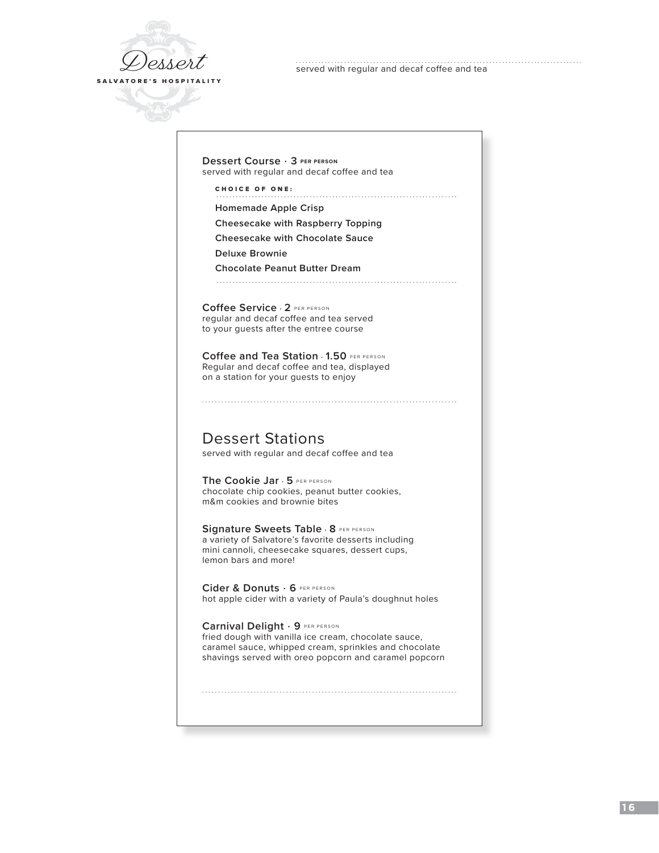

served with regular and decaf coffee and tea

**Dessert Course** . **3 PER PERSON**  served with regular and decaf coffee and tea

CHOICE OF ONE:

**Homemade Apple Crisp**

**Cheesecake with Raspberry Topping**

**Cheesecake with Chocolate Sauce**

**Deluxe Brownie**

**Chocolate Peanut Butter Dream**

**Coffee Service** . **2** PER PERSON regular and decaf coffee and tea served to your guests after the entree course

**Coffee and Tea Station** . **1.50** PER PERSON Regular and decaf coffee and tea, displayed on a station for your guests to enjoy

Dessert Stations served with regular and decaf coffee and tea

**The Cookie Jar** . **5** PER PERSON chocolate chip cookies, peanut butter cookies, m&m cookies and brownie bites

**Signature Sweets Table** . **8** PER PERSON a variety of Salvatore's favorite desserts including mini cannoli, cheesecake squares, dessert cups, lemon bars and more!

**Cider & Donuts** . **6** PER PERSON hot apple cider with a variety of Paula's doughnut holes

**Carnival Delight** . **9** PER PERSON fried dough with vanilla ice cream, chocolate sauce, caramel sauce, whipped cream, sprinkles and chocolate shavings served with oreo popcorn and caramel popcorn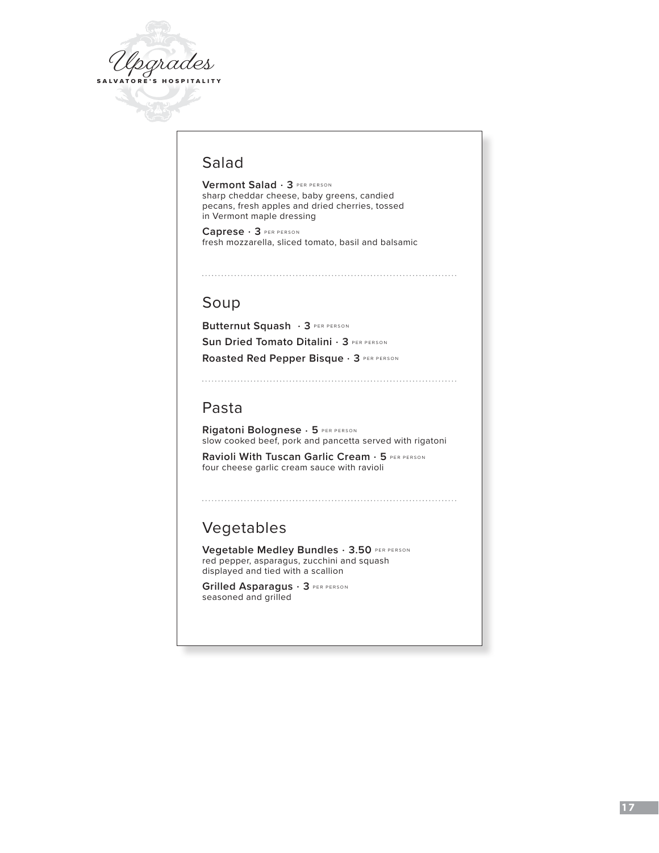

# Salad

**Vermont Salad** . **3** PER PERSON sharp cheddar cheese, baby greens, candied pecans, fresh apples and dried cherries, tossed in Vermont maple dressing

**Caprese** . **3** PER PERSON fresh mozzarella, sliced tomato, basil and balsamic

# Soup

**Butternut Squash** . **3** PER PERSON **Sun Dried Tomato Ditalini** . **3** PER PERSON **Roasted Red Pepper Bisque** . **3** PER PERSON

# Pasta

**Rigatoni Bolognese** . **5** PER PERSON slow cooked beef, pork and pancetta served with rigatoni

**Ravioli With Tuscan Garlic Cream** . **5** PER PERSON four cheese garlic cream sauce with ravioli

# Vegetables

**Vegetable Medley Bundles** . **3.50** PER PERSON red pepper, asparagus, zucchini and squash displayed and tied with a scallion

**Grilled Asparagus** . **3** PER PERSON seasoned and grilled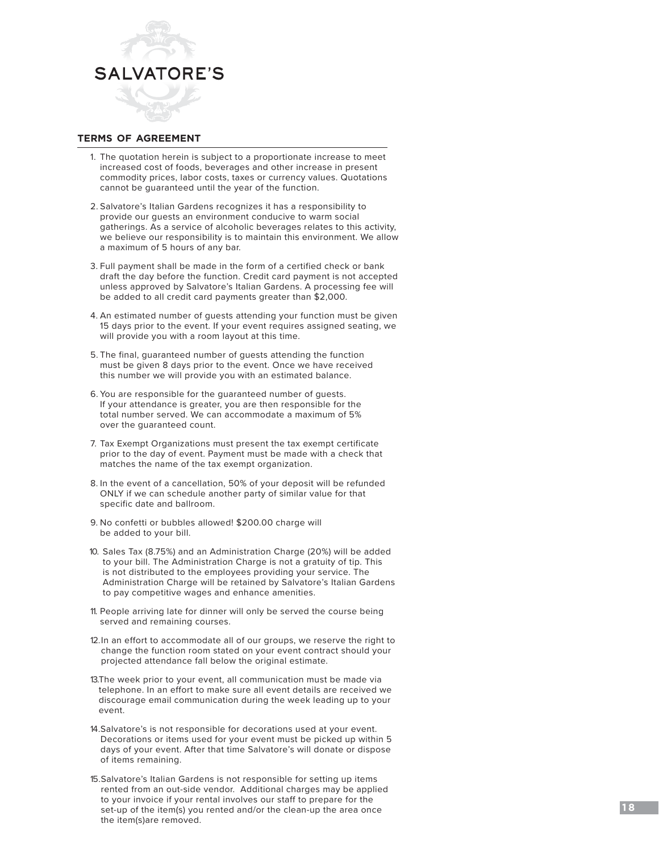

### **terms of agreement**

- 1. The quotation herein is subject to a proportionate increase to meet increased cost of foods, beverages and other increase in present commodity prices, labor costs, taxes or currency values. Quotations cannot be guaranteed until the year of the function.
- 2. Salvatore's Italian Gardens recognizes it has a responsibility to provide our guests an environment conducive to warm social gatherings. As a service of alcoholic beverages relates to this activity, we believe our responsibility is to maintain this environment. We allow a maximum of 5 hours of any bar.
- 3. Full payment shall be made in the form of a certified check or bank draft the day before the function. Credit card payment is not accepted unless approved by Salvatore's Italian Gardens. A processing fee will be added to all credit card payments greater than \$2,000.
- 4. An estimated number of guests attending your function must be given 15 days prior to the event. If your event requires assigned seating, we will provide you with a room layout at this time.
- 5. The final, guaranteed number of guests attending the function must be given 8 days prior to the event. Once we have received this number we will provide you with an estimated balance.
- 6. You are responsible for the guaranteed number of guests. If your attendance is greater, you are then responsible for the total number served. We can accommodate a maximum of 5% over the guaranteed count.
- 7. Tax Exempt Organizations must present the tax exempt certificate prior to the day of event. Payment must be made with a check that matches the name of the tax exempt organization.
- 8. In the event of a cancellation, 50% of your deposit will be refunded ONLY if we can schedule another party of similar value for that specific date and ballroom.
- 9. No confetti or bubbles allowed! \$200.00 charge will be added to your bill.
- 10. Sales Tax (8.75%) and an Administration Charge (20%) will be added to your bill. The Administration Charge is not a gratuity of tip. This is not distributed to the employees providing your service. The Administration Charge will be retained by Salvatore's Italian Gardens to pay competitive wages and enhance amenities.
- 11. People arriving late for dinner will only be served the course being served and remaining courses.
- 12.In an effort to accommodate all of our groups, we reserve the right to change the function room stated on your event contract should your projected attendance fall below the original estimate.
- 13.The week prior to your event, all communication must be made via telephone. In an effort to make sure all event details are received we discourage email communication during the week leading up to your event.
- 14.Salvatore's is not responsible for decorations used at your event. Decorations or items used for your event must be picked up within 5 days of your event. After that time Salvatore's will donate or dispose of items remaining.
- 15.Salvatore's Italian Gardens is not responsible for setting up items rented from an out-side vendor. Additional charges may be applied to your invoice if your rental involves our staff to prepare for the set-up of the item(s) you rented and/or the clean-up the area once the item(s)are removed.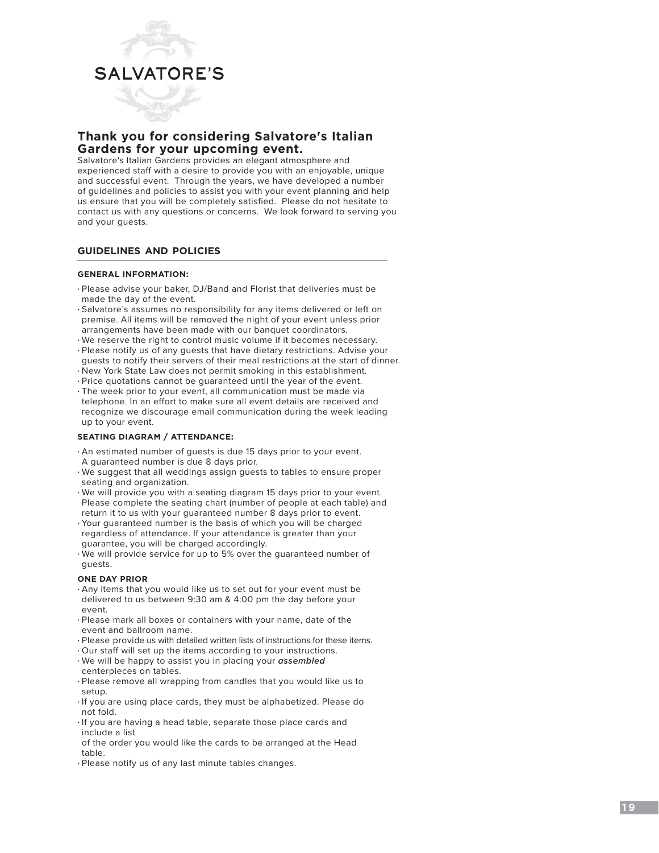

### **Thank you for considering Salvatore's Italian Gardens for your upcoming event.**

Salvatore's Italian Gardens provides an elegant atmosphere and experienced staff with a desire to provide you with an enjoyable, unique and successful event. Through the years, we have developed a number of guidelines and policies to assist you with your event planning and help us ensure that you will be completely satisfied. Please do not hesitate to contact us with any questions or concerns. We look forward to serving you and your guests.

#### **guidelines and policies**

#### **GENERAL INFORMATION:**

- Please advise your baker, DJ/Band and Florist that deliveries must be made the day of the event.
- Salvatore's assumes no responsibility for any items delivered or left on premise. All items will be removed the night of your event unless prior arrangements have been made with our banquet coordinators.
- We reserve the right to control music volume if it becomes necessary.
- Please notify us of any guests that have dietary restrictions. Advise your guests to notify their servers of their meal restrictions at the start of dinner.
- New York State Law does not permit smoking in this establishment.
- Price quotations cannot be guaranteed until the year of the event.
- The week prior to your event, all communication must be made via telephone. In an effort to make sure all event details are received and recognize we discourage email communication during the week leading up to your event.

#### **SEATING DIAGRAM / ATTENDANCE:**

- An estimated number of guests is due 15 days prior to your event. A guaranteed number is due 8 days prior.
- We suggest that all weddings assign guests to tables to ensure proper seating and organization.
- We will provide you with a seating diagram 15 days prior to your event. Please complete the seating chart (number of people at each table) and return it to us with your guaranteed number 8 days prior to event.
- Your guaranteed number is the basis of which you will be charged regardless of attendance. If your attendance is greater than your guarantee, you will be charged accordingly.
- We will provide service for up to 5% over the guaranteed number of guests.

#### **ONE DAY PRIOR**

- Any items that you would like us to set out for your event must be delivered to us between 9:30 am & 4:00 pm the day before your event.
- Please mark all boxes or containers with your name, date of the event and ballroom name.
- Please provide us with detailed written lists of instructions for these items.
- Our staff will set up the items according to your instructions. • We will be happy to assist you in placing your *assembled*
- centerpieces on tables. • Please remove all wrapping from candles that you would like us to
- setup.
- If you are using place cards, they must be alphabetized. Please do not fold.
- If you are having a head table, separate those place cards and include a list
- of the order you would like the cards to be arranged at the Head table.
- Please notify us of any last minute tables changes.